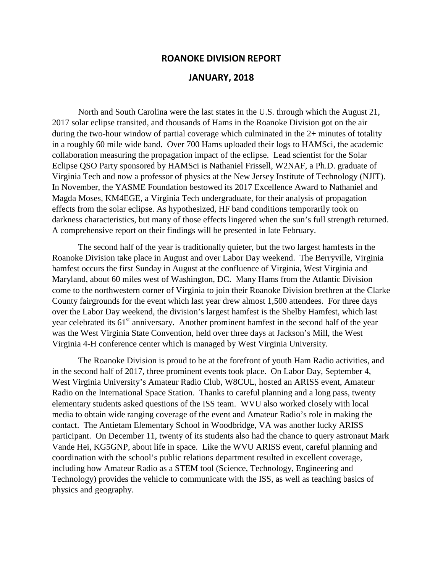## **ROANOKE DIVISION REPORT**

## **JANUARY, 2018**

North and South Carolina were the last states in the U.S. through which the August 21, 2017 solar eclipse transited, and thousands of Hams in the Roanoke Division got on the air during the two-hour window of partial coverage which culminated in the 2+ minutes of totality in a roughly 60 mile wide band. Over 700 Hams uploaded their logs to HAMSci, the academic collaboration measuring the propagation impact of the eclipse. Lead scientist for the Solar Eclipse QSO Party sponsored by HAMSci is Nathaniel Frissell, W2NAF, a Ph.D. graduate of Virginia Tech and now a professor of physics at the New Jersey Institute of Technology (NJIT). In November, the YASME Foundation bestowed its 2017 Excellence Award to Nathaniel and Magda Moses, KM4EGE, a Virginia Tech undergraduate, for their analysis of propagation effects from the solar eclipse. As hypothesized, HF band conditions temporarily took on darkness characteristics, but many of those effects lingered when the sun's full strength returned. A comprehensive report on their findings will be presented in late February.

The second half of the year is traditionally quieter, but the two largest hamfests in the Roanoke Division take place in August and over Labor Day weekend. The Berryville, Virginia hamfest occurs the first Sunday in August at the confluence of Virginia, West Virginia and Maryland, about 60 miles west of Washington, DC. Many Hams from the Atlantic Division come to the northwestern corner of Virginia to join their Roanoke Division brethren at the Clarke County fairgrounds for the event which last year drew almost 1,500 attendees. For three days over the Labor Day weekend, the division's largest hamfest is the Shelby Hamfest, which last year celebrated its  $61<sup>st</sup>$  anniversary. Another prominent hamfest in the second half of the year was the West Virginia State Convention, held over three days at Jackson's Mill, the West Virginia 4-H conference center which is managed by West Virginia University.

The Roanoke Division is proud to be at the forefront of youth Ham Radio activities, and in the second half of 2017, three prominent events took place. On Labor Day, September 4, West Virginia University's Amateur Radio Club, W8CUL, hosted an ARISS event, Amateur Radio on the International Space Station. Thanks to careful planning and a long pass, twenty elementary students asked questions of the ISS team. WVU also worked closely with local media to obtain wide ranging coverage of the event and Amateur Radio's role in making the contact. The Antietam Elementary School in Woodbridge, VA was another lucky ARISS participant. On December 11, twenty of its students also had the chance to query astronaut Mark Vande Hei, KG5GNP, about life in space. Like the WVU ARISS event, careful planning and coordination with the school's public relations department resulted in excellent coverage, including how Amateur Radio as a STEM tool (Science, Technology, Engineering and Technology) provides the vehicle to communicate with the ISS, as well as teaching basics of physics and geography.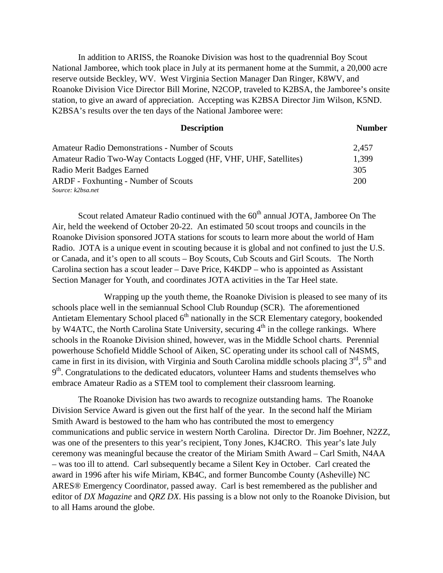In addition to ARISS, the Roanoke Division was host to the quadrennial Boy Scout National Jamboree, which took place in July at its permanent home at the Summit, a 20,000 acre reserve outside Beckley, WV. West Virginia Section Manager Dan Ringer, K8WV, and Roanoke Division Vice Director Bill Morine, N2COP, traveled to K2BSA, the Jamboree's onsite station, to give an award of appreciation. Accepting was K2BSA Director Jim Wilson, K5ND. K2BSA's results over the ten days of the National Jamboree were:

| <b>Description</b>                                               | <b>Number</b> |
|------------------------------------------------------------------|---------------|
| <b>Amateur Radio Demonstrations - Number of Scouts</b>           | 2,457         |
| Amateur Radio Two-Way Contacts Logged (HF, VHF, UHF, Satellites) | 1,399         |
| Radio Merit Badges Earned                                        | 305           |
| <b>ARDF</b> - Foxhunting - Number of Scouts                      | <b>200</b>    |
| Source: k2bsa.net                                                |               |

Scout related Amateur Radio continued with the  $60<sup>th</sup>$  annual JOTA, Jamboree On The Air, held the weekend of October 20-22. An estimated 50 scout troops and councils in the Roanoke Division sponsored JOTA stations for scouts to learn more about the world of Ham Radio. JOTA is a unique event in scouting because it is global and not confined to just the U.S. or Canada, and it's open to all scouts – Boy Scouts, Cub Scouts and Girl Scouts. The North Carolina section has a scout leader – Dave Price, K4KDP – who is appointed as Assistant Section Manager for Youth, and coordinates JOTA activities in the Tar Heel state.

Wrapping up the youth theme, the Roanoke Division is pleased to see many of its schools place well in the semiannual School Club Roundup (SCR). The aforementioned Antietam Elementary School placed  $6<sup>th</sup>$  nationally in the SCR Elementary category, bookended by W4ATC, the North Carolina State University, securing  $4<sup>th</sup>$  in the college rankings. Where schools in the Roanoke Division shined, however, was in the Middle School charts. Perennial powerhouse Schofield Middle School of Aiken, SC operating under its school call of N4SMS, came in first in its division, with Virginia and South Carolina middle schools placing  $3<sup>rd</sup>$ ,  $5<sup>th</sup>$  and  $9<sup>th</sup>$ . Congratulations to the dedicated educators, volunteer Hams and students themselves who embrace Amateur Radio as a STEM tool to complement their classroom learning.

The Roanoke Division has two awards to recognize outstanding hams. The Roanoke Division Service Award is given out the first half of the year. In the second half the Miriam Smith Award is bestowed to the ham who has contributed the most to emergency communications and public service in western North Carolina. Director Dr. Jim Boehner, N2ZZ, was one of the presenters to this year's recipient, Tony Jones, KJ4CRO. This year's late July ceremony was meaningful because the creator of the Miriam Smith Award – Carl Smith, N4AA – was too ill to attend. Carl subsequently became a Silent Key in October. Carl created the award in 1996 after his wife Miriam, KB4C, and former Buncombe County (Asheville) NC ARES® Emergency Coordinator, passed away. Carl is best remembered as the publisher and editor of *DX Magazine* and *QRZ DX*. His passing is a blow not only to the Roanoke Division, but to all Hams around the globe.